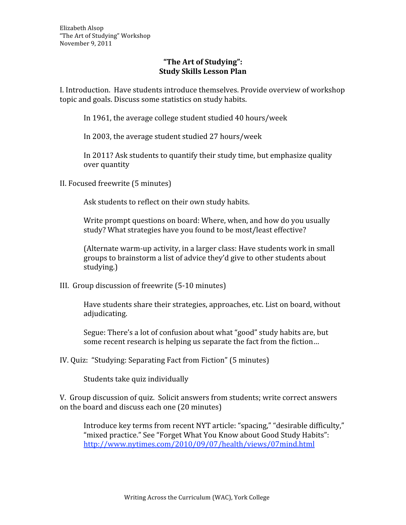## **"The Art of Studying": Study Skills Lesson Plan**

I. Introduction. Have students introduce themselves. Provide overview of workshop topic and goals. Discuss some statistics on study habits.

In 1961, the average college student studied 40 hours/week

In 2003, the average student studied 27 hours/week

In 2011? Ask students to quantify their study time, but emphasize quality over quantity

II. Focused freewrite (5 minutes)

Ask students to reflect on their own study habits.

Write prompt questions on board: Where, when, and how do you usually study? What strategies have you found to be most/least effective?

(Alternate warm‐up activity, in a larger class: Have students work in small groups to brainstorm a list of advice they'd give to other students about studying.)

III. Group discussion of freewrite (5‐10 minutes)

Have students share their strategies, approaches, etc. List on board, without adjudicating.

Segue: There's a lot of confusion about what "good" study habits are, but some recent research is helping us separate the fact from the fiction…

IV. Quiz: "Studying: Separating Fact from Fiction" (5 minutes)

Students take quiz individually

V. Group discussion of quiz. Solicit answers from students; write correct answers on the board and discuss each one (20 minutes)

Introduce key terms from recent NYT article: "spacing," "desirable difficulty," "mixed practice." See "Forget What You Know about Good Study Habits": http://www.nytimes.com/2010/09/07/health/views/07mind.html